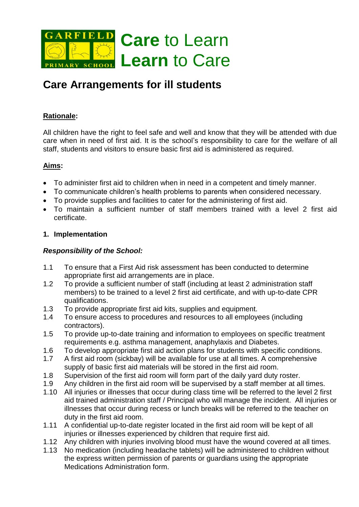

# **Care Arrangements for ill students**

## **Rationale:**

All children have the right to feel safe and well and know that they will be attended with due care when in need of first aid. It is the school's responsibility to care for the welfare of all staff, students and visitors to ensure basic first aid is administered as required.

## **Aims:**

- To administer first aid to children when in need in a competent and timely manner.
- To communicate children's health problems to parents when considered necessary.
- To provide supplies and facilities to cater for the administering of first aid.
- To maintain a sufficient number of staff members trained with a level 2 first aid certificate.

#### **1. Implementation**

#### *Responsibility of the School:*

- 1.1 To ensure that a First Aid risk assessment has been conducted to determine appropriate first aid arrangements are in place.
- 1.2 To provide a sufficient number of staff (including at least 2 administration staff members) to be trained to a level 2 first aid certificate, and with up-to-date CPR qualifications.
- 1.3 To provide appropriate first aid kits, supplies and equipment.
- 1.4 To ensure access to procedures and resources to all employees (including contractors).
- 1.5 To provide up-to-date training and information to employees on specific treatment requirements e.g. asthma management, anaphylaxis and Diabetes.
- 1.6 To develop appropriate first aid action plans for students with specific conditions.
- 1.7 A first aid room (sickbay) will be available for use at all times. A comprehensive supply of basic first aid materials will be stored in the first aid room.
- 1.8 Supervision of the first aid room will form part of the daily yard duty roster.
- 1.9 Any children in the first aid room will be supervised by a staff member at all times.
- 1.10 All injuries or illnesses that occur during class time will be referred to the level 2 first aid trained administration staff / Principal who will manage the incident. All injuries or illnesses that occur during recess or lunch breaks will be referred to the teacher on duty in the first aid room.
- 1.11 A confidential up-to-date register located in the first aid room will be kept of all injuries or illnesses experienced by children that require first aid.
- 1.12 Any children with injuries involving blood must have the wound covered at all times.
- 1.13 No medication (including headache tablets) will be administered to children without the express written permission of parents or guardians using the appropriate Medications Administration form.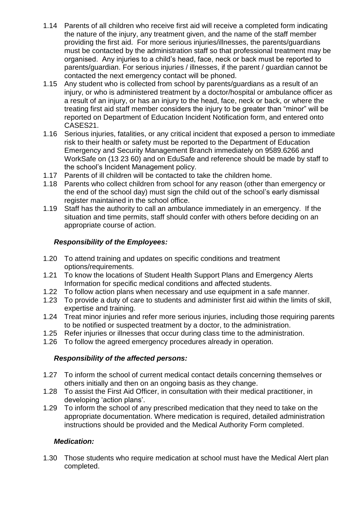- 1.14 Parents of all children who receive first aid will receive a completed form indicating the nature of the injury, any treatment given, and the name of the staff member providing the first aid. For more serious injuries/illnesses, the parents/guardians must be contacted by the administration staff so that professional treatment may be organised. Any injuries to a child's head, face, neck or back must be reported to parents/guardian. For serious injuries / illnesses, if the parent / guardian cannot be contacted the next emergency contact will be phoned.
- 1.15 Any student who is collected from school by parents/guardians as a result of an injury, or who is administered treatment by a doctor/hospital or ambulance officer as a result of an injury, or has an injury to the head, face, neck or back, or where the treating first aid staff member considers the injury to be greater than "minor" will be reported on Department of Education Incident Notification form, and entered onto CASES21.
- 1.16 Serious injuries, fatalities, or any critical incident that exposed a person to immediate risk to their health or safety must be reported to the Department of Education Emergency and Security Management Branch immediately on 9589.6266 and WorkSafe on (13 23 60) and on EduSafe and reference should be made by staff to the school's Incident Management policy.
- 1.17 Parents of ill children will be contacted to take the children home.
- 1.18 Parents who collect children from school for any reason (other than emergency or the end of the school day) must sign the child out of the school's early dismissal register maintained in the school office.
- 1.19 Staff has the authority to call an ambulance immediately in an emergency. If the situation and time permits, staff should confer with others before deciding on an appropriate course of action.

# *Responsibility of the Employees:*

- 1.20 To attend training and updates on specific conditions and treatment options/requirements.
- 1.21 To know the locations of Student Health Support Plans and Emergency Alerts Information for specific medical conditions and affected students.
- 1.22 To follow action plans when necessary and use equipment in a safe manner.
- 1.23 To provide a duty of care to students and administer first aid within the limits of skill, expertise and training.
- 1.24 Treat minor injuries and refer more serious injuries, including those requiring parents to be notified or suspected treatment by a doctor, to the administration.
- 1.25 Refer injuries or illnesses that occur during class time to the administration.
- 1.26 To follow the agreed emergency procedures already in operation.

## *Responsibility of the affected persons:*

- 1.27 To inform the school of current medical contact details concerning themselves or others initially and then on an ongoing basis as they change.
- 1.28 To assist the First Aid Officer, in consultation with their medical practitioner, in developing 'action plans'.
- 1.29 To inform the school of any prescribed medication that they need to take on the appropriate documentation. Where medication is required, detailed administration instructions should be provided and the Medical Authority Form completed.

# *Medication:*

1.30 Those students who require medication at school must have the Medical Alert plan completed.